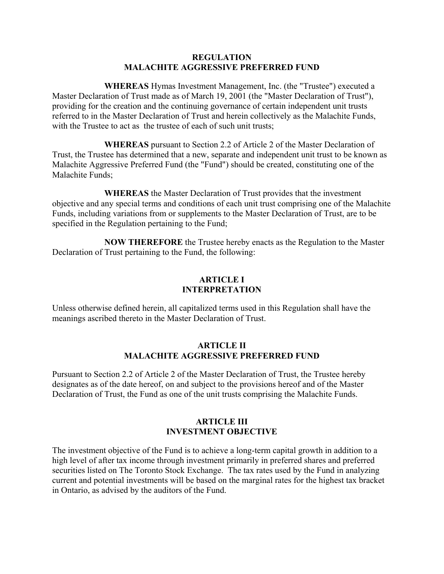### **REGULATION MALACHITE AGGRESSIVE PREFERRED FUND**

**WHEREAS** Hymas Investment Management, Inc. (the "Trustee") executed a Master Declaration of Trust made as of March 19, 2001 (the "Master Declaration of Trust"), providing for the creation and the continuing governance of certain independent unit trusts referred to in the Master Declaration of Trust and herein collectively as the Malachite Funds, with the Trustee to act as the trustee of each of such unit trusts;

**WHEREAS** pursuant to Section 2.2 of Article 2 of the Master Declaration of Trust, the Trustee has determined that a new, separate and independent unit trust to be known as Malachite Aggressive Preferred Fund (the "Fund") should be created, constituting one of the Malachite Funds;

**WHEREAS** the Master Declaration of Trust provides that the investment objective and any special terms and conditions of each unit trust comprising one of the Malachite Funds, including variations from or supplements to the Master Declaration of Trust, are to be specified in the Regulation pertaining to the Fund;

**NOW THEREFORE** the Trustee hereby enacts as the Regulation to the Master Declaration of Trust pertaining to the Fund, the following:

### **ARTICLE I INTERPRETATION**

Unless otherwise defined herein, all capitalized terms used in this Regulation shall have the meanings ascribed thereto in the Master Declaration of Trust.

# **ARTICLE II MALACHITE AGGRESSIVE PREFERRED FUND**

Pursuant to Section 2.2 of Article 2 of the Master Declaration of Trust, the Trustee hereby designates as of the date hereof, on and subject to the provisions hereof and of the Master Declaration of Trust, the Fund as one of the unit trusts comprising the Malachite Funds.

# **ARTICLE III INVESTMENT OBJECTIVE**

The investment objective of the Fund is to achieve a long-term capital growth in addition to a high level of after tax income through investment primarily in preferred shares and preferred securities listed on The Toronto Stock Exchange. The tax rates used by the Fund in analyzing current and potential investments will be based on the marginal rates for the highest tax bracket in Ontario, as advised by the auditors of the Fund.